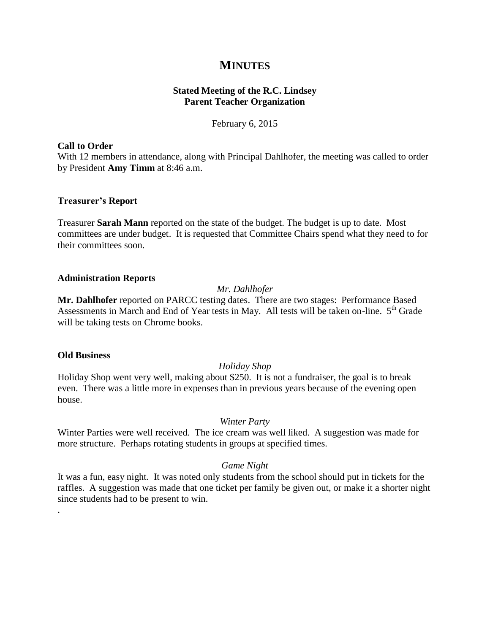# **MINUTES**

## **Stated Meeting of the R.C. Lindsey Parent Teacher Organization**

February 6, 2015

## **Call to Order**

With 12 members in attendance, along with Principal Dahlhofer, the meeting was called to order by President **Amy Timm** at 8:46 a.m.

## **Treasurer's Report**

Treasurer **Sarah Mann** reported on the state of the budget. The budget is up to date. Most committees are under budget. It is requested that Committee Chairs spend what they need to for their committees soon.

## **Administration Reports**

## *Mr. Dahlhofer*

**Mr. Dahlhofer** reported on PARCC testing dates. There are two stages: Performance Based Assessments in March and End of Year tests in May. All tests will be taken on-line. 5<sup>th</sup> Grade will be taking tests on Chrome books.

#### **Old Business**

.

## *Holiday Shop*

Holiday Shop went very well, making about \$250. It is not a fundraiser, the goal is to break even. There was a little more in expenses than in previous years because of the evening open house.

#### *Winter Party*

Winter Parties were well received. The ice cream was well liked. A suggestion was made for more structure. Perhaps rotating students in groups at specified times.

## *Game Night*

It was a fun, easy night. It was noted only students from the school should put in tickets for the raffles. A suggestion was made that one ticket per family be given out, or make it a shorter night since students had to be present to win.